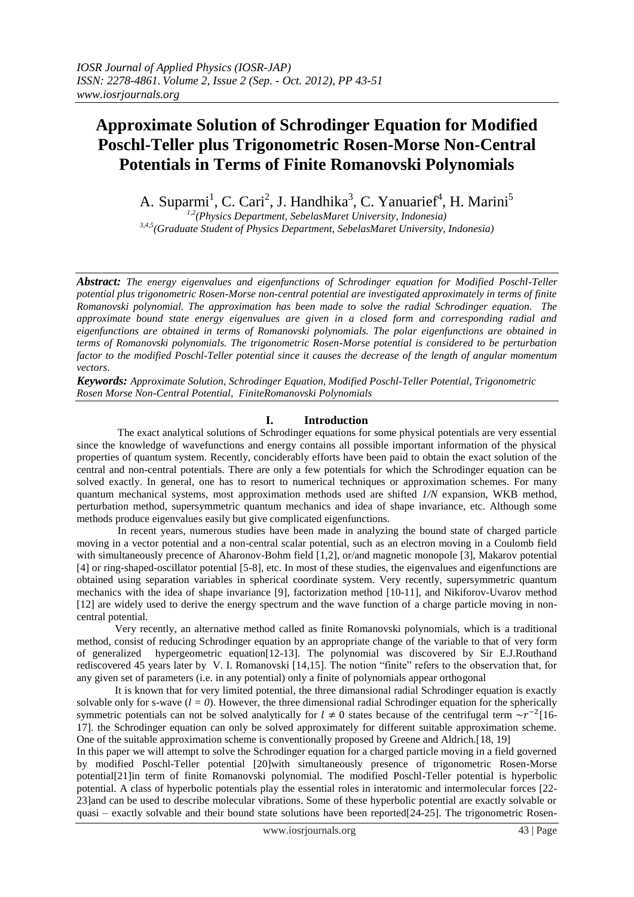# **Approximate Solution of Schrodinger Equation for Modified Poschl-Teller plus Trigonometric Rosen-Morse Non-Central Potentials in Terms of Finite Romanovski Polynomials**

A. Suparmi<sup>1</sup>, C. Cari<sup>2</sup>, J. Handhika<sup>3</sup>, C. Yanuarief<sup>4</sup>, H. Marini<sup>5</sup>

*1,2(Physics Department, SebelasMaret University, Indonesia) 3,4,5(Graduate Student of Physics Department, SebelasMaret University, Indonesia)*

*Abstract: The energy eigenvalues and eigenfunctions of Schrodinger equation for Modified Poschl-Teller potential plus trigonometric Rosen-Morse non-central potential are investigated approximately in terms of finite Romanovski polynomial. The approximation has been made to solve the radial Schrodinger equation. The approximate bound state energy eigenvalues are given in a closed form and corresponding radial and eigenfunctions are obtained in terms of Romanovski polynomials. The polar eigenfunctions are obtained in terms of Romanovski polynomials. The trigonometric Rosen-Morse potential is considered to be perturbation factor to the modified Poschl-Teller potential since it causes the decrease of the length of angular momentum vectors.*

*Keywords: Approximate Solution, Schrodinger Equation, Modified Poschl-Teller Potential, Trigonometric Rosen Morse Non-Central Potential, FiniteRomanovski Polynomials*

# **I. Introduction**

The exact analytical solutions of Schrodinger equations for some physical potentials are very essential since the knowledge of wavefunctions and energy contains all possible important information of the physical properties of quantum system. Recently, conciderably efforts have been paid to obtain the exact solution of the central and non-central potentials. There are only a few potentials for which the Schrodinger equation can be solved exactly. In general, one has to resort to numerical techniques or approximation schemes. For many quantum mechanical systems, most approximation methods used are shifted *1/N* expansion, WKB method, perturbation method, supersymmetric quantum mechanics and idea of shape invariance, etc. Although some methods produce eigenvalues easily but give complicated eigenfunctions.

In recent years, numerous studies have been made in analyzing the bound state of charged particle moving in a vector potential and a non-central scalar potential, such as an electron moving in a Coulomb field with simultaneously precence of Aharonov-Bohm field [1,2], or/and magnetic monopole [3], Makarov potential [4] or ring-shaped-oscillator potential [5-8], etc. In most of these studies, the eigenvalues and eigenfunctions are obtained using separation variables in spherical coordinate system. Very recently, supersymmetric quantum mechanics with the idea of shape invariance [9], factorization method [10-11], and Nikiforov-Uvarov method [12] are widely used to derive the energy spectrum and the wave function of a charge particle moving in noncentral potential.

Very recently, an alternative method called as finite Romanovski polynomials, which is a traditional method, consist of reducing Schrodinger equation by an appropriate change of the variable to that of very form of generalized hypergeometric equation[12-13]. The polynomial was discovered by Sir E.J.Routhand rediscovered 45 years later by V. I. Romanovski [14,15]. The notion "finite" refers to the observation that, for any given set of parameters (i.e. in any potential) only a finite of polynomials appear orthogonal

It is known that for very limited potential, the three dimansional radial Schrodinger equation is exactly solvable only for s-wave  $(l = 0)$ . However, the three dimensional radial Schrodinger equation for the spherically symmetric potentials can not be solved analytically for  $l \neq 0$  states because of the centrifugal term  $\sim r^{-2}$ [16-17]. the Schrodinger equation can only be solved approximately for different suitable approximation scheme. One of the suitable approximation scheme is conventionally proposed by Greene and Aldrich.[18, 19]

In this paper we will attempt to solve the Schrodinger equation for a charged particle moving in a field governed by modified Poschl-Teller potential [20]with simultaneously presence of trigonometric Rosen-Morse potential[21]in term of finite Romanovski polynomial. The modified Poschl-Teller potential is hyperbolic potential. A class of hyperbolic potentials play the essential roles in interatomic and intermolecular forces [22- 23]and can be used to describe molecular vibrations. Some of these hyperbolic potential are exactly solvable or quasi – exactly solvable and their bound state solutions have been reported[24-25]. The trigonometric Rosen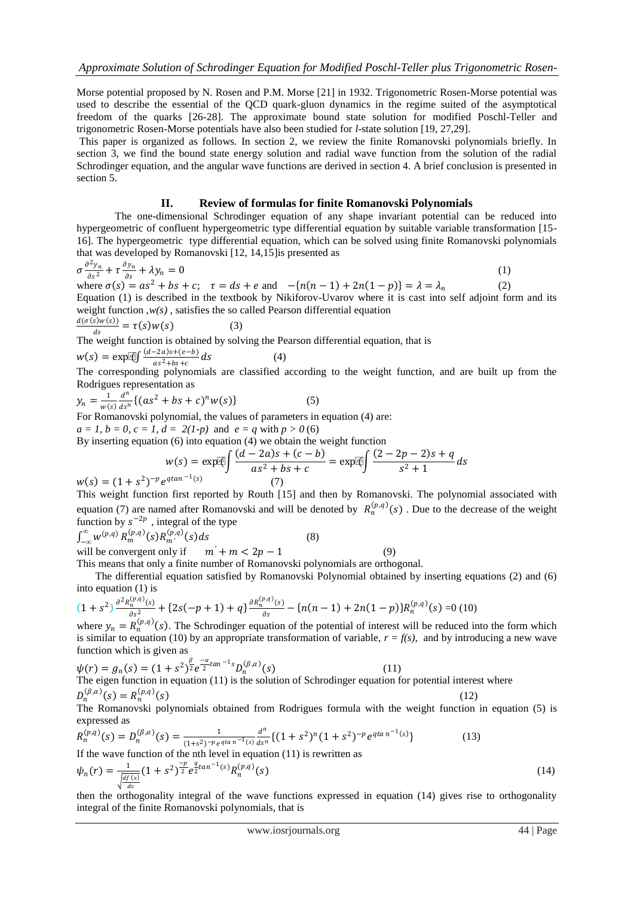Morse potential proposed by N. Rosen and P.M. Morse [21] in 1932. Trigonometric Rosen-Morse potential was used to describe the essential of the QCD quark-gluon dynamics in the regime suited of the asymptotical freedom of the quarks [26-28]. The approximate bound state solution for modified Poschl-Teller and trigonometric Rosen-Morse potentials have also been studied for *l*-state solution [19, 27,29].

This paper is organized as follows. In section 2, we review the finite Romanovski polynomials briefly. In section 3, we find the bound state energy solution and radial wave function from the solution of the radial Schrodinger equation, and the angular wave functions are derived in section 4. A brief conclusion is presented in section 5.

## **II. Review of formulas for finite Romanovski Polynomials**

The one-dimensional Schrodinger equation of any shape invariant potential can be reduced into hypergeometric of confluent hypergeometric type differential equation by suitable variable transformation [15- 16]. The hypergeometric type differential equation, which can be solved using finite Romanovski polynomials that was developed by Romanovski [12, 14,15]is presented as

$$
\sigma \frac{\partial^2 y_n}{\partial s^2} + \tau \frac{\partial y_n}{\partial s} + \lambda y_n = 0 \tag{1}
$$

(4)

where  $\sigma(s) = as^2 + bs + c$ ;  $\tau = ds + e$  and  $-\{n(n-1) + 2n(1-p)\} = \lambda = \lambda_n$ (2) Equation (1) is described in the textbook by Nikiforov-Uvarov where it is cast into self adjoint form and its weight function ,*w(s)* , satisfies the so called Pearson differential equation

$$
\frac{d(\sigma(s)w(s))}{ds} = \tau(s)w(s) \tag{3}
$$

The weight function is obtained by solving the Pearson differential equation, that is

$$
w(s) = \exp[\mathcal{L} \int \frac{(d-2a)s + (e-b)}{as^2 + bs + c} ds]
$$

 $x(t) = \frac{c_1 t_1}{a_1 s^2 + b_1 + c}$  as  $x(t)$ <br>The corresponding polynomials are classified according to the weight function, and are built up from the Rodrigues representation as

$$
y_n = \frac{1}{w(s)} \frac{d^n}{ds^n} \{ (as^2 + bs + c)^n w(s) \}
$$
 (5)

For Romanovski polynomial, the values of parameters in equation (4) are:

$$
a = 1, b = 0, c = 1, d = 2(1-p)
$$
 and  $e = q$  with  $p > 0$  (6)  
By inserting equation (6) into equation (4) we obtain the weight function  

$$
w(s) = \exp[\sqrt[3]{\frac{(d-2a)s + (c-b)}{as^2 + bs + c}} = \exp[\sqrt[3]{\frac{(2-2p-2)s + q}{s^2 + 1}} ds]
$$

(7)

 $w(s) = (1 + s^2)^{-p} e^{q \tan^{-1}(s)}$ 

This weight function first reported by Routh [15] and then by Romanovski. The polynomial associated with equation (7) are named after Romanovski and will be denoted by  $R_n^{(p,q)}(s)$ . Due to the decrease of the weight function by  $s^{-2p}$ , integral of the type

 $\int_{-\infty}^{\infty} w^{(p,q)} R_m^{(p,q)}(s) R_{m'}^{(p,q)}(s) ds$  (8) will be convergent only if  $m' + m < 2p - 1$  (9)

This means that only a finite number of Romanovski polynomials are orthogonal.

 The differential equation satisfied by Romanovski Polynomial obtained by inserting equations (2) and (6) into equation (1) is

$$
(1+s^2)\frac{\partial^2 R_n^{(p,q)}(s)}{\partial s^2} + \{2s(-p+1)+q\}\frac{\partial R_n^{(p,q)}(s)}{\partial s} - \{n(n-1)+2n(1-p)\}R_n^{(p,q)}(s) = 0
$$
 (10)

where  $y_n = R_n^{(p,q)}(s)$ . The Schrodinger equation of the potential of interest will be reduced into the form which is similar to equation (10) by an appropriate transformation of variable,  $r = f(s)$ , and by introducing a new wave function which is given as

$$
\psi(r) = g_n(s) = (1 + s^2)^{\frac{\beta}{2}} e^{-\frac{\alpha}{2} \tan^{-1} s} D_n^{(\beta, \alpha)}(s)
$$
\nThe eigen function in equation (11) is the solution of Schrodinger equation for potential interest where

\n
$$
D_n^{(\beta, \alpha)}(s) = R_n^{(p, q)}(s)
$$
\n(12)

The Romanovski polynomials obtained from Rodrigues formula with the weight function in equation (5) is expressed as

$$
R_n^{(p,q)}(s) = D_n^{(\beta,\alpha)}(s) = \frac{1}{(1+s^2)^{-p}e^{qta n^{-1}(s)}}\frac{d^n}{ds^n} \{(1+s^2)^n(1+s^2)^{-p}e^{qta n^{-1}(s)}\}
$$
(13)

If the wave function of the nth level in equation (11) is rewritten as

$$
\psi_n(r) = \frac{1}{\sqrt{\frac{df(s)}{ds}}} (1+s^2)^{\frac{-p}{2}} e^{\frac{q}{2} \tan^{-1}(s)} R_n^{(p,q)}(s)
$$
\n(14)

then the orthogonality integral of the wave functions expressed in equation (14) gives rise to orthogonality integral of the finite Romanovski polynomials, that is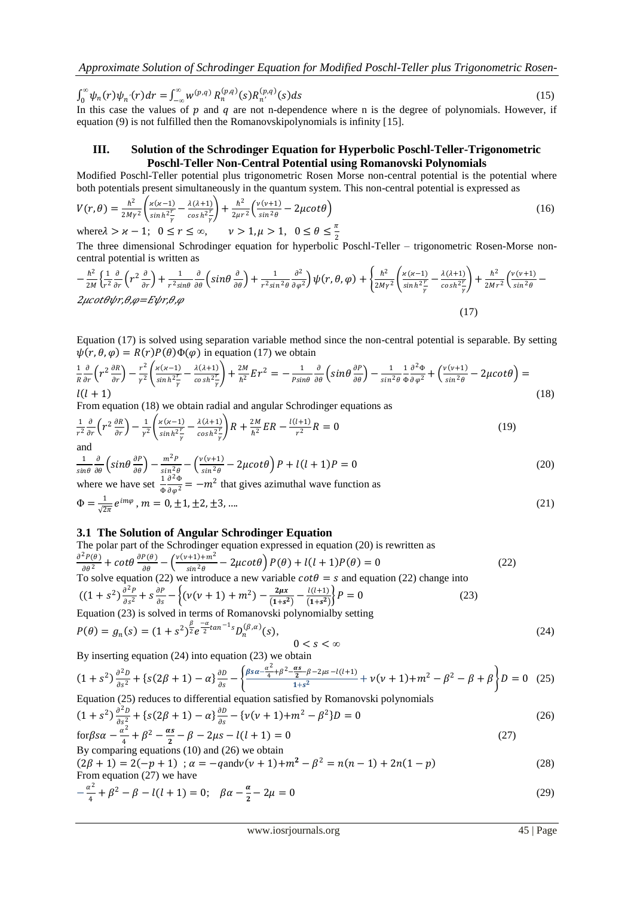$\int_0^\infty \psi_n(r) \psi_{n'}(r) dr =$  $\int_0^{\infty} \psi_n(r) \psi_{n'}(r) dr = \int_{-\infty}^{\infty} w^{(p,q)} R_n^{(p,q)}(s) R_{n'}^{(p,q)}$  $(s)ds$  (15)

In this case the values of  $p$  and  $q$  are not n-dependence where n is the degree of polynomials. However, if equation (9) is not fulfilled then the Romanovskipolynomials is infinity [15].

## **III. Solution of the Schrodinger Equation for Hyperbolic Poschl-Teller-Trigonometric Poschl-Teller Non-Central Potential using Romanovski Polynomials**

Modified Poschl-Teller potential plus trigonometric Rosen Morse non-central potential is the potential where both potentials present simultaneously in the quantum system. This non-central potential is expressed as

$$
V(r,\theta) = \frac{\hbar^2}{2M\gamma^2} \left( \frac{\varkappa(\kappa-1)}{\sinh^2 \frac{r}{\gamma}} - \frac{\lambda(\lambda+1)}{\cosh^2 \frac{r}{\gamma}} \right) + \frac{\hbar^2}{2\mu r^2} \left( \frac{v(v+1)}{\sin^2 \theta} - 2\mu \cot \theta \right)
$$
  
where  $\lambda > \varkappa - 1$ ;  $0 \le r \le \infty$ ,  $v > 1, \mu > 1$ ,  $0 \le \theta \le \frac{\pi}{2}$  (16)

2 The three dimensional Schrodinger equation for hyperbolic Poschl-Teller – trigonometric Rosen-Morse noncentral potential is written as

$$
-\frac{\hbar^2}{2M} \left\{ \frac{1}{r^2} \frac{\partial}{\partial r} \left( r^2 \frac{\partial}{\partial r} \right) + \frac{1}{r^2 \sin \theta} \frac{\partial}{\partial \theta} \left( \sin \theta \frac{\partial}{\partial \theta} \right) + \frac{1}{r^2 \sin^2 \theta} \frac{\partial^2}{\partial \varphi^2} \right\} \psi(r, \theta, \varphi) + \left\{ \frac{\hbar^2}{2M\gamma^2} \left( \frac{\varkappa (\kappa - 1)}{\sin \hbar^2} - \frac{\lambda (\lambda + 1)}{\cosh^2 \varphi} \right) + \frac{\hbar^2}{2Mr^2} \left( \frac{\nu (\nu + 1)}{\sin^2 \theta} - \frac{\lambda (\nu + 1)}{2Mr^2} \right) \right\} \psi(r, \theta, \varphi) + \left\{ \frac{\hbar^2}{2Mr^2} \left( \frac{\varkappa (\kappa - 1)}{\sin \hbar^2} - \frac{\lambda (\lambda + 1)}{\cosh^2 \varphi} \right) + \frac{\hbar^2}{2Mr^2} \left( \frac{\nu (\nu + 1)}{\sin^2 \theta} - \frac{\lambda (\nu + 1)}{2Mr^2} \right) \right\} \psi(r, \theta, \varphi) + \left\{ \frac{\hbar^2}{2Mr^2} \left( \frac{\varkappa (\kappa - 1)}{\sin \hbar^2} - \frac{\lambda (\lambda + 1)}{\cosh^2 \varphi} \right) + \frac{\hbar^2}{2Mr^2} \left( \frac{\nu (\nu + 1)}{\sin^2 \theta} - \frac{\lambda (\nu + 1)}{2Mr^2} \right) \right\} \psi(r, \theta, \varphi) + \left\{ \frac{\hbar^2}{2Mr^2} \left( \frac{\varkappa (\kappa - 1)}{\sin \hbar^2} - \frac{\lambda (\lambda + 1)}{\cosh^2 \varphi} \right) + \frac{\hbar^2}{2Mr^2} \left( \frac{\nu (\nu + 1)}{\sin^2 \theta} - \frac{\lambda (\nu + 1)}{2Mr^2} \right) \right\} \psi(r, \theta, \varphi) + \left\{ \frac{\hbar^2}{2Mr^2} \left( \frac{\varkappa (\kappa - 1)}{\sin \hbar^2} - \frac{\lambda (\lambda + 1)}{\cosh^2 \varphi} \right) + \frac{\hbar^2}{2Mr^2} \
$$

Equation (17) is solved using separation variable method since the non-central potential is separable. By setting  $\psi(r, \theta, \varphi) = R(r)P(\theta)\Phi(\varphi)$  in equation (17) we obtain

$$
\frac{1}{R}\frac{\partial}{\partial r}\left(r^2\frac{\partial R}{\partial r}\right) - \frac{r^2}{\gamma^2}\left(\frac{\varkappa(\varkappa - 1)}{\sinh^2\frac{r}{\gamma}} - \frac{\lambda(\lambda + 1)}{\cosh^2\frac{r}{\gamma}}\right) + \frac{2M}{\hbar^2}Er^2 = -\frac{1}{p_{\sin\theta}}\frac{\partial}{\partial \theta}\left(\sin\theta\frac{\partial P}{\partial \theta}\right) - \frac{1}{\sin^2\theta}\frac{1}{\phi}\frac{\partial^2\Phi}{\partial\phi^2} + \left(\frac{\nu(\nu + 1)}{\sin^2\theta} - 2\mu\cot\theta\right) = (18)
$$

From equation (18) we obtain radial and angular Schrodinger equations as

$$
\frac{1}{r^2}\frac{\partial}{\partial r}\left(r^2\frac{\partial R}{\partial r}\right) - \frac{1}{r^2}\left(\frac{\varkappa(\varkappa - 1)}{\sinh^2\frac{r}{\gamma}} - \frac{\lambda(\lambda + 1)}{\cosh^2\frac{r}{\gamma}}\right)R + \frac{2M}{\hbar^2}ER - \frac{l(l+1)}{r^2}R = 0\tag{19}
$$

$$
\frac{1}{\sin\theta} \frac{\partial}{\partial \theta} \left( \sin\theta \frac{\partial P}{\partial \theta} \right) - \frac{m^2 P}{\sin^2\theta} - \left( \frac{v(v+1)}{\sin^2\theta} - 2\mu \cot\theta \right) P + l(l+1)P = 0
$$
\nwhere we have set 
$$
\frac{1}{\Phi} \frac{\partial^2 \Phi}{\partial \varphi^2} = -m^2
$$
 that gives azimuthal wave function as

$$
\Phi = \frac{1}{\sqrt{2\pi}} e^{im\varphi}, \, m = 0, \pm 1, \pm 2, \pm 3, \dots \tag{21}
$$

## **3.1 The Solution of Angular Schrodinger Equation**

The polar part of the Schrodinger equation expressed in equation (20) is rewritten as  
\n
$$
\frac{\partial^2 P(\theta)}{\partial \theta^2} + \cot \theta \frac{\partial P(\theta)}{\partial \theta} - \left(\frac{v(v+1)+m^2}{\sin^2 \theta} - 2\mu \cot \theta\right) P(\theta) + l(l+1)P(\theta) = 0
$$
\n(22)  
\nTo solve equation (22) we introduce a new variable  $\cot \theta = s$  and equation (22) change into  
\n
$$
((1 + s^2) \frac{\partial^2 P}{\partial s^2} + s \frac{\partial P}{\partial s} - \left\{ (v(v+1) + m^2) - \frac{2\mu x}{(1+s^2)} - \frac{l(l+1)}{(1+s^2)} \right\} P = 0
$$
\n(23)  
\nEquation (23) is solved in terms of Romanowski polynomialby setting  
\n
$$
P(\theta) = g_n(s) = (1 + s^2) \frac{\beta}{2} e^{\frac{-\alpha}{2} \tan^{-1} s} D_n^{(\beta, \alpha)}(s),
$$

$$
P(\theta) = g_n(s) = (1 + s^2)^{\frac{\nu}{2}} e^{-\frac{\alpha}{2} \tan^{-1} s} D_n^{(\beta, \alpha)}(s), \qquad 0 < s < \infty \tag{24}
$$

By inserting equation (24) into equation (23) we obtain

$$
(1+s^2)\frac{\partial^2 D}{\partial s^2} + \left\{s(2\beta+1) - \alpha\right\}\frac{\partial D}{\partial s} - \left\{\frac{\beta s\alpha - \frac{\alpha^2}{4} + \beta^2 - \frac{\alpha s}{2} - \beta - 2\mu s - l(l+1)}{1+s^2} + \nu(\nu+1) + m^2 - \beta^2 - \beta + \beta\right\}D = 0 \quad (25)
$$
  
Equation (25) reduces to differential equation satisfied by Romanowski polynomials

$$
(1+s^2)\frac{\partial^2 D}{\partial s^2} + \{s(2\beta+1) - \alpha\}\frac{\partial D}{\partial s} - \{v(v+1) + m^2 - \beta^2\}D = 0
$$
\n(26)

$$
\text{for } \beta s\alpha - \frac{\alpha^2}{4} + \beta^2 - \frac{\alpha s}{2} - \beta - 2\mu s - l(l+1) = 0
$$
\n
$$
\text{By comparing equations (10) and (26) we obtain}
$$
\n
$$
\text{(27)}
$$

 $(2\beta + 1) = 2(-p + 1)$ ;  $\alpha = -q$ and $v(v + 1) + m^2 - \beta^2 = n(n - 1) + 2n(1 - p)$  (28) From equation (27) we have

$$
-\frac{\alpha^2}{4} + \beta^2 - \beta - l(l+1) = 0; \quad \beta\alpha - \frac{\alpha}{2} - 2\mu = 0
$$
\n(29)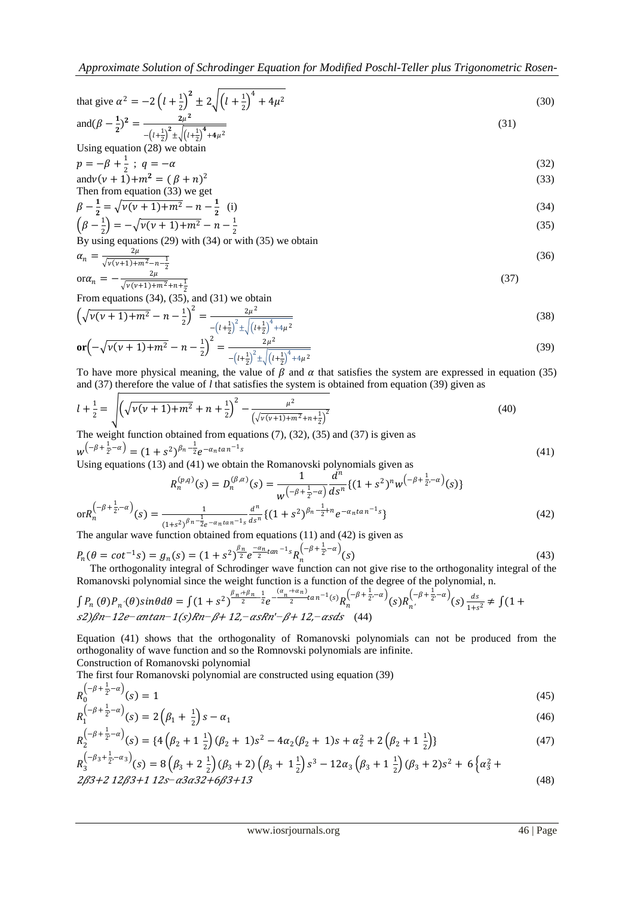*Approximate Solution of Schrodinger Equation for Modified Poschl-Teller plus Trigonometric Rosen-*

that give 
$$
\alpha^2 = -2\left(l + \frac{1}{2}\right)^2 \pm 2\sqrt{\left(l + \frac{1}{2}\right)^4 + 4\mu^2}
$$
  
and  $(\beta - \frac{1}{2})^2 = \frac{2\mu^2}{-\left(l + \frac{1}{2}\right)^2 \pm \sqrt{\left(l + \frac{1}{2}\right)^4 + 4\mu^2}}$  (31)

$$
-(t+2) \pm \sqrt{(t+2)} + 4\mu
$$
  
Using equation (28) we obtain

$$
p = -\beta + \frac{1}{2} \; ; \; q = -\alpha \tag{32}
$$
  
and 
$$
v(v + 1) + m^2 = (\beta + n)^2 \tag{33}
$$
  
Then from equation (32) we get

Then from equation (33) we get  
\n
$$
\beta - \frac{1}{2} = \sqrt{\nu(\nu + 1) + m^2} - n - \frac{1}{2}
$$
\n(i)

$$
\left(\beta - \frac{1}{2}\right) = -\sqrt{\nu(\nu + 1) + m^2} - n - \frac{1}{2}
$$
\nBy using equations (29) with (34) or with (35) we obtain

$$
\alpha_n = \frac{2\mu}{\sqrt{\nu(\nu+1) + m^2 - n - \frac{1}{2}}} \tag{36}
$$

$$
\text{or}\n\alpha_n = -\frac{2\mu}{\sqrt{\nu(\nu+1)+m^2+n+\frac{1}{2}}}\n\tag{37}
$$
\n
$$
\text{From equations (34), (35), and (31) we obtain}
$$

 $2\mu^2$ 

$$
\left(\sqrt{\nu(\nu+1)+m^2}-n-\frac{1}{2}\right)^2 = \frac{2\mu^2}{-\left(l+\frac{1}{2}\right)^2 \pm \sqrt{\left(l+\frac{1}{2}\right)^4 + 4\mu^2}}
$$
\n
$$
\text{or}\left(-\sqrt{\nu(\nu+1)+m^2}-n-\frac{1}{2}\right)^2 = \frac{2\mu^2}{\sqrt{\left(l+\frac{1}{2}\right)^4 + 4\mu^2}}
$$
\n
$$
(39)
$$

To have more physical meaning, the value of 
$$
\beta
$$
 and  $\alpha$  that satisfies the system are expressed in equation (35)

and (37) therefore the value of *l* that satisfies the system is obtained from equation (39) given as\n
$$
\sqrt{\frac{1}{l}}
$$

$$
l + \frac{1}{2} = \sqrt{\left(\sqrt{v(v+1) + m^2} + n + \frac{1}{2}\right)^2 - \frac{\mu^2}{\left(\sqrt{v(v+1) + m^2} + n + \frac{1}{2}\right)^2}}
$$
(40)

The weight function obtained from equations (7), (32), (35) and (37) is given as

$$
w^{\left(-\beta + \frac{1}{2}, -\alpha\right)} = (1 + s^2)^{\beta_n - \frac{1}{2}} e^{-\alpha_n \tan^{-1} s}
$$
\nUsing equations (13) and (41) we obtain the Romanowski polynomials given as

\n
$$
n^{\left(\beta, \alpha\right)} \leftarrow n^{\left(\beta, \alpha\right)} \left(\alpha + \frac{1}{2}, \alpha + \frac{1}{2}, \alpha + \frac{1}{2}, \alpha + \frac{1}{2}\right)
$$
\n(41)

$$
R_n^{(p,q)}(s) = D_n^{(\beta,\alpha)}(s) = \frac{1}{w^{\left(-\beta + \frac{1}{2}, -\alpha\right)}} \frac{u}{ds^n} \{ (1+s^2)^n w^{\left(-\beta + \frac{1}{2}, -\alpha\right)}(s) \}
$$

$$
or R_n^{\left(-\beta + \frac{1}{2}, -\alpha\right)}(s) = \frac{1}{(1+s^2)^{\beta n - \frac{1}{2}} e^{-\alpha_n \tan^{-1}s} d s^n} \{ (1+s^2)^{\beta n - \frac{1}{2} + n} e^{-\alpha_n \tan^{-1}s} \}
$$
(42)

The angular wave function obtained from equations (11) and (42) is given as

$$
P_n(\theta = \cot^{-1}s) = g_n(s) = (1+s^2)^{\frac{\beta_n}{2}} e^{-\frac{\alpha_n}{2} \tan^{-1}s} R_n^{\left(-\beta + \frac{1}{2}, -\alpha\right)}(s)
$$
\nThe orthogonality integral of Schrödinger wave function can not give rise to the orthogonality integral of the

 The orthogonality integral of Schrodinger wave function can not give rise to the orthogonality integral of the Romanovski polynomial since the weight function is a function of the degree of the polynomial, n.

$$
\int P_n(\theta) P_{n'}(\theta) sin\theta d\theta = \int (1+s^2)^{\frac{\beta_n+\beta_n}{2}} \frac{1}{2} e^{-\frac{(\alpha_n+\alpha_n)}{2}tan^{-1}(s)} R_n^{(-\beta+\frac{1}{2},-\alpha)}(s) R_{n'}^{(-\beta+\frac{1}{2},-\alpha)}(s) \frac{ds}{1+s^2} \neq \int (1+s^2)^{\beta_n-\beta} \frac{1}{2} R_n^{(-\beta+\frac{1}{2},-\alpha)}(s) R_{n'}^{(-\beta+\frac{1}{2},-\alpha)}(s) R_{n'}^{(-\beta+\frac{1}{2},-\alpha)}(s) R_{n'}^{(-\beta+\frac{1}{2},-\alpha)}(s) R_{n'}^{(-\beta+\frac{1}{2},-\alpha)}(s) R_{n'}^{(-\beta+\frac{1}{2},-\alpha)}(s) R_{n'}^{(-\beta+\frac{1}{2},-\alpha)}(s) R_{n'}^{(-\beta+\frac{1}{2},-\alpha)}(s) R_{n'}^{(-\beta+\frac{1}{2},-\alpha)}(s) R_{n'}^{(-\beta+\frac{1}{2},-\alpha)}(s) R_{n'}^{(-\beta+\frac{1}{2},-\alpha)}(s) R_{n'}^{(-\beta+\frac{1}{2},-\alpha)}(s) R_{n'}^{(-\beta+\frac{1}{2},-\alpha)}(s) R_{n'}^{(-\beta+\frac{1}{2},-\alpha)}(s) R_{n'}^{(-\beta+\frac{1}{2},-\alpha)}(s) R_{n'}^{(-\beta+\frac{1}{2},-\alpha)}(s) R_{n'}^{(-\beta+\frac{1}{2},-\alpha)}(s) R_{n'}^{(-\beta+\frac{1}{2},-\alpha)}(s) R_{n'}^{(-\beta+\frac{1}{2},-\alpha)}(s) R_{n'}^{(-\beta+\frac{1}{2},-\alpha)}(s) R_{n'}^{(-\beta+\frac{1}{2},-\alpha)}(s) R_{n'}^{(-\beta+\frac{1}{2},-\alpha)}(s) R_{n'}^{(-\beta+\frac{1}{2},-\alpha)}(s) R_{n'}^{(-\beta+\frac{1}{2},-\alpha)}(s) R_{n'}^{(-\beta+\frac{1}{2},-\alpha)}(s) R_{n'}^{(-\beta+\frac{1}{2},-\alpha)}(s) R_{n'}^{(-\beta+\frac{1}{2},-\alpha)}(s) R_{n'}^{(-\beta+\frac{1}{2},-\alpha)}(s) R_{n'}^{(-\beta+\frac{1}{2},-\alpha)}(s) R_{n'}^{(-\beta+\frac{
$$

Equation (41) shows that the orthogonality of Romanovski polynomials can not be produced from the orthogonality of wave function and so the Romnovski polynomials are infinite. Construction of Romanovski polynomial

The first four Romanovski polynomial are constructed using equation (39)

$$
R_0^{\left(-\beta + \frac{1}{2}, -\alpha\right)}(s) = 1\tag{45}
$$

$$
R_1^{\left(-\beta + \frac{1}{2}, -\alpha\right)}(s) = 2\left(\beta_1 + \frac{1}{2}\right)s - \alpha_1\tag{46}
$$

$$
R_2^{\left(-\beta + \frac{1}{2}, -\alpha\right)}(s) = \left\{4\left(\beta_2 + 1\frac{1}{2}\right)(\beta_2 + 1)s^2 - 4\alpha_2(\beta_2 + 1)s + \alpha_2^2 + 2\left(\beta_2 + 1\frac{1}{2}\right)\right\}
$$
(47)

$$
R_3^{\left(-\beta_3+\frac{1}{2},-\alpha_3\right)}(s) = 8\left(\beta_3+2\frac{1}{2}\right)(\beta_3+2)\left(\beta_3+1\frac{1}{2}\right)s^3 - 12\alpha_3\left(\beta_3+1\frac{1}{2}\right)(\beta_3+2)s^2 + 6\left\{\alpha_3^2+2\beta_3^2+12\beta_3^2+12\beta_3^2+12\beta_3^2+6\beta_3^2+13\right\}
$$
\n
$$
(48)
$$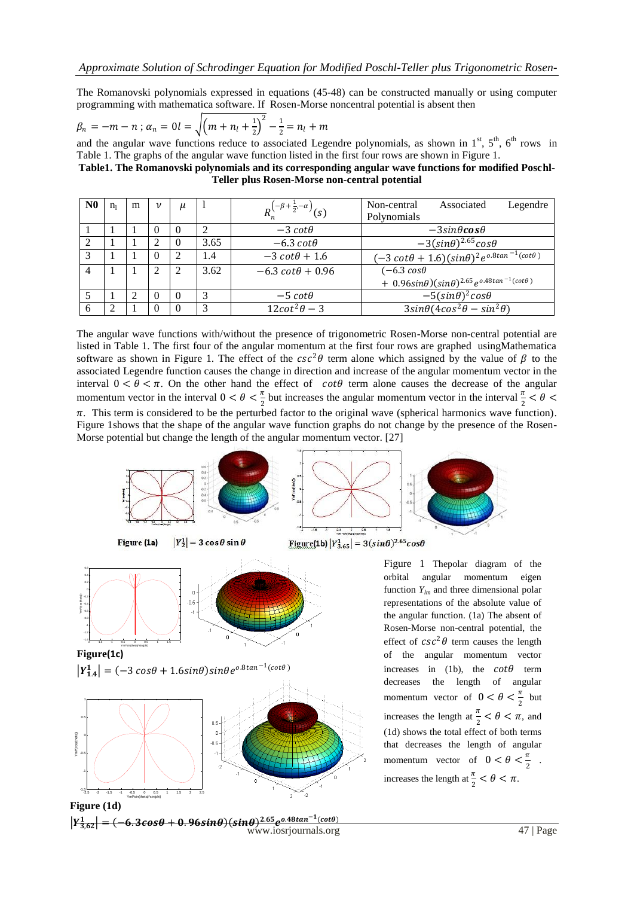The Romanovski polynomials expressed in equations (45-48) can be constructed manually or using computer programming with mathematica software. If Rosen-Morse noncentral potential is absent then

$$
\beta_n = -m - n \; ; \; \alpha_n = 0 \; l = \sqrt{\left(m + n_l + \frac{1}{2}\right)^2} - \frac{1}{2} = n_l + m
$$

and the angular wave functions reduce to associated Legendre polynomials, as shown in 1<sup>st</sup>, 5<sup>th</sup>, 6<sup>th</sup> rows in Table 1. The graphs of the angular wave function listed in the first four rows are shown in Figure 1.

**Table1. The Romanovski polynomials and its corresponding angular wave functions for modified Poschl-Teller plus Rosen-Morse non-central potential**

| N <sub>0</sub> | $n_{1}$ | m | $\boldsymbol{\nu}$ | $\mu$    |      | $R_n^{(-\beta + \frac{1}{2}, -\alpha)}(s)$ | Associated<br>Non-central<br>Legendre                                               |
|----------------|---------|---|--------------------|----------|------|--------------------------------------------|-------------------------------------------------------------------------------------|
|                |         |   |                    |          |      |                                            | Polynomials                                                                         |
|                |         |   | $\theta$           | $\theta$ |      | $-3 \cot\theta$                            | $-3sin\theta cos\theta$                                                             |
| 2              |         |   | 2                  | $\Omega$ | 3.65 | $-6.3 \cot\theta$                          | $-3(sin\theta)^{2.65}cos\theta$                                                     |
| 3              |         |   | 0                  | 2        | 1.4  | $-3 \cot\theta + 1.6$                      | $(-3 \cot\theta + 1.6)(\sin\theta)^2 e^{0.8\tan^{-1}(\cot\theta)}$                  |
| $\overline{4}$ |         |   | 2                  | 2        | 3.62 | $-6.3 \cot\theta + 0.96$                   | $(-6.3 \cos\theta)$                                                                 |
|                |         |   |                    |          |      |                                            | + $0.96\sin\theta$ )( $\sin\theta$ ) <sup>2.65</sup> $e^{0.48\tan^{-1}(cot\theta)}$ |
|                |         |   |                    | $\Omega$ |      | $-5 \cot\theta$                            | $-5(sin\theta)^2 cos\theta$                                                         |
| 6              |         |   |                    | 0        |      | $12cot^2\theta-3$                          | $3sin\theta(4cos^2\theta - sin^2\theta)$                                            |

The angular wave functions with/without the presence of trigonometric Rosen-Morse non-central potential are listed in Table 1. The first four of the angular momentum at the first four rows are graphed usingMathematica software as shown in Figure 1. The effect of the  $csc^2\theta$  term alone which assigned by the value of  $\beta$  to the associated Legendre function causes the change in direction and increase of the angular momentum vector in the interval  $0 < \theta < \pi$ . On the other hand the effect of cot $\theta$  term alone causes the decrease of the angular momentum vector in the interval  $0 < \theta < \frac{\pi}{2}$  $\frac{\pi}{2}$  but increases the angular momentum vector in the interval  $\frac{\pi}{2} < \theta <$  $\pi$ . This term is considered to be the perturbed factor to the original wave (spherical harmonics wave function). Figure 1shows that the shape of the angular wave function graphs do not change by the presence of the Rosen-Morse potential but change the length of the angular momentum vector. [27]



 $\left| Y_{1.4}^1 \right| = \left( -3 \cos \theta + 1.6 \sin \theta \right) \sin \theta e^{0.8 \tan^{-1} (\cot \theta)}$ orbital angular momentum eigen function *Ylm* and three dimensional polar representations of the absolute value of the angular function. (1a) The absent of Rosen-Morse non-central potential, the effect of  $csc^2\theta$  term causes the length of the angular momentum vector increases in (1b), the  $cot\theta$  term decreases the length of angular momentum vector of  $0 < \theta < \frac{\pi}{2}$ increases the length at  $\frac{\pi}{2} < \theta < \pi$ , and



**Figure (1d)** 

-1.5 -1 -0.5 o F  $0.5$   $\vdash$  $1 -$ 

Yml\*(cos(theta))

**Figure(1c)** 

-1.4 -1.2 -1 -0.8 -0.6  $-0.4$   $+1$  $-0.2$  |  $/$ 0  $0.2$   $\uparrow$ 0.4  $0.6$   $-$ 

Yml\*(cos(theta))

-2 -1.5 -1 -0.5 0 0.5 1 1.5 2

Yml\*sin(theta)\*sin(phi)

www.iosrjournals.org 47 | Page  $|Y_{3,62}^1| = (-6.3cos\theta + 0.96sin\theta)(sin\theta)^{2.65}e^{0.48tan^{-1}(cot\theta)}$ 

 $-0.6$ 

 $\frac{\pi}{2}$  but

 $\frac{\pi}{2}$ .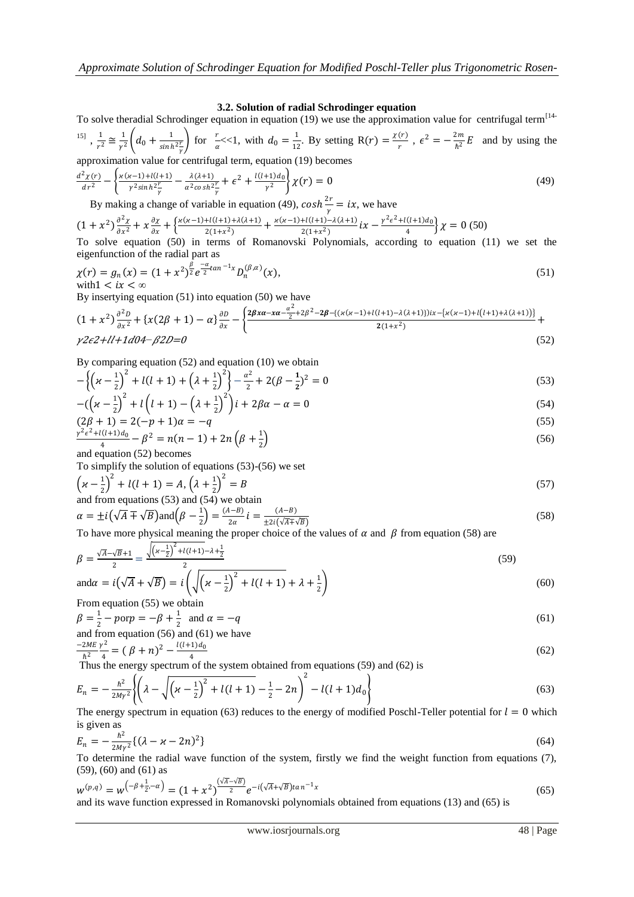### **3.2. Solution of radial Schrodinger equation**

To solve theradial Schrodinger equation in equation (19) we use the approximation value for centrifugal term<sup>[14-</sup> <sup>15]</sup>,  $\frac{1}{\sigma}$  $rac{1}{r^2} \cong \frac{1}{r^2}$  $rac{1}{\gamma^2}\left(d_0+\frac{1}{\sinh} \right)$  $\sinh^2\frac{r}{\gamma}$ for  $\frac{r}{\alpha} \ll 1$ , with  $d_0 = \frac{1}{12}$  $\frac{1}{12}$ . By setting R(r) =  $\frac{\chi(r)}{r}$  $\frac{(r)}{r}$ ,  $\epsilon^2 = -\frac{2m}{\hbar^2}$  $\frac{\epsilon m}{\hbar^2}E$  and by using the

approximation value for centrifugal term, equation (19) becomes

$$
\frac{d^2\chi(r)}{dr^2} - \left\{ \frac{\varkappa(\varkappa - 1) + l(l+1)}{r^2 \sinh^2 \frac{r}{\gamma}} - \frac{\lambda(\lambda + 1)}{\alpha^2 \cosh^2 \frac{r}{\gamma}} + \varepsilon^2 + \frac{l(l+1)d_0}{r^2} \right\} \chi(r) = 0
$$
\n(49)

By making a change of variable in equation (49),  $cosh \frac{2r}{l}$  $\frac{e}{\gamma} = ix$ , we have

 $(1 + x^2) \frac{\partial^2 x}{\partial x^2}$  $\frac{\partial^2 \chi}{\partial x^2} + x \frac{\partial \chi}{\partial x}$  $\frac{\partial \chi}{\partial x} + \left\{ \frac{\varkappa (\varkappa -1) + l(l+1) + \lambda (\lambda +1)}{2(1+x^2)} \right.$  $\frac{H(l+1)+\lambda(\lambda+1)}{2(1+x^2)} + \frac{x(x-1)+l(l+1)-\lambda(\lambda+1)}{2(1+x^2)}$  $\frac{1}{2(1+x^2)}$   $\int x - \frac{\gamma^2 \epsilon^2 + l(l+1)d_0}{4}$  $\left\{\frac{\chi(t+1) \mu_0}{4}\right\} \chi = 0$  (50)

To solve equation (50) in terms of Romanovski Polynomials, according to equation (11) we set the eigenfunction of the radial part as

$$
\chi(r) = g_n(x) = (1 + x^2)^{\frac{\beta}{2}} e^{\frac{-\alpha}{2} \tan^{-1} x} D_n^{(\beta, \alpha)}(x),
$$
  
with  $1 < i x < \infty$  (51)

By insertying equation (51) into equation (50) we have

$$
(1+x^2)\frac{\partial^2 D}{\partial x^2} + \{x(2\beta+1) - \alpha\}\frac{\partial D}{\partial x} - \left\{\frac{2\beta x\alpha - x\alpha - \frac{\alpha^2}{2} + 2\beta^2 - 2\beta - \{(x(x-1)+l(l+1) - \lambda(\lambda+1)\})ix - \{x(x-1)+l(l+1) + \lambda(\lambda+1)\}\}}{2(1+x^2)} + \frac{2(1+x^2)\alpha - \beta x\alpha - \frac{\alpha^2}{2} + \beta x\alpha - \frac{\alpha^2}{2} + \beta x\alpha - \frac{\alpha^2}{2} + \beta x\alpha - \frac{\alpha^2}{2} + \beta x\alpha - \frac{\alpha^2}{2} + \beta x\alpha - \frac{\alpha^2}{2} + \beta x\alpha - \frac{\alpha^2}{2} + \beta x\alpha - \frac{\alpha^2}{2} + \beta x\alpha - \frac{\alpha^2}{2} + \beta x\alpha - \frac{\alpha^2}{2} + \beta x\alpha - \frac{\alpha^2}{2} + \beta x\alpha - \frac{\alpha^2}{2} + \beta x\alpha - \frac{\alpha^2}{2} + \beta x\alpha - \frac{\alpha^2}{2} + \beta x\alpha - \frac{\alpha^2}{2} + \beta x\alpha - \frac{\alpha^2}{2} + \beta x\alpha - \frac{\alpha^2}{2} + \beta x\alpha - \frac{\alpha^2}{2} + \beta x\alpha - \frac{\alpha^2}{2} + \beta x\alpha - \frac{\alpha^2}{2} + \beta x\alpha - \frac{\alpha^2}{2} + \beta x\alpha - \frac{\alpha^2}{2} + \beta x\alpha - \frac{\alpha^2}{2} + \beta x\alpha - \frac{\alpha^2}{2} + \beta x\alpha - \frac{\alpha^2}{2} + \beta x\alpha - \frac{\alpha^2}{2} + \beta x\alpha - \frac{\alpha^2}{2} + \beta x\alpha - \frac{\alpha^2}{2} + \beta x\alpha - \frac{\alpha^2}{2} + \beta x\alpha - \frac{\alpha^2}{2} + \beta x\alpha - \frac{\alpha^2}{2} + \beta x\alpha - \frac{\alpha^2}{2} + \beta x\alpha - \frac{\alpha^2}{2} + \beta x\alpha - \frac{\alpha^2}{2} + \beta x\alpha - \frac{\alpha^2}{2} + \beta x\alpha - \frac{\alpha^2}{2} + \beta x\alpha - \frac{\alpha^2}{2} + \beta x\alpha - \frac{\alpha^2}{2} + \beta
$$

By comparing equation (52) and equation (10) we obtain

$$
-\left\{\left(x-\frac{1}{2}\right)^2 + l(l+1) + \left(\lambda + \frac{1}{2}\right)^2\right\} - \frac{\alpha^2}{2} + 2(\beta - \frac{1}{2})^2 = 0
$$
\n(53)

$$
-(\left(\varkappa - \frac{1}{2}\right)^{2} + l\left(l+1\right) - \left(\lambda + \frac{1}{2}\right)^{2}\right)i + 2\beta\alpha - \alpha = 0
$$
\n(54)

$$
(2\beta + 1) = 2(-p + 1)\alpha = -q
$$
  

$$
\frac{\gamma^2 \epsilon^2 + l(l+1)d_0}{4} - \beta^2 = n(n-1) + 2n\left(\beta + \frac{1}{2}\right)
$$
 (56)

and equation (52) becomes

To simplify the solution of equations (53)-(56) we set

$$
\left(x - \frac{1}{2}\right)^2 + l(l+1) = A, \left(\lambda + \frac{1}{2}\right)^2 = B
$$
  
and from equations (53) and (54) we obtain

$$
\alpha = \pm i \left( \sqrt{A} \mp \sqrt{B} \right) \text{and} \left( \beta - \frac{1}{2} \right) = \frac{(A-B)}{2\alpha} i = \frac{(A-B)}{\pm 2i \left( \sqrt{A} \mp \sqrt{B} \right)}
$$
(58)

To have more physical meaning the proper choice of the values of  $\alpha$  and  $\beta$  from equation (58) are

$$
\beta = \frac{\sqrt{A} - \sqrt{B} + 1}{2} = \frac{\sqrt{\left(x - \frac{1}{2}\right)^2 + l(l+1) - \lambda + \frac{1}{2}}}{2}
$$
\n
$$
\text{and}\alpha = i\left(\sqrt{A} + \sqrt{B}\right) = i\left(\sqrt{\left(x - \frac{1}{2}\right)^2 + l(l+1)} + \lambda + \frac{1}{2}\right)
$$
\n(59)

From equation (55) we obtain

$$
\beta = \frac{1}{2} - p \text{ or } p = -\beta + \frac{1}{2} \text{ and } \alpha = -q
$$
\nand from equation (56) and (61) we have

and from equation (56) and (61) we have  
\n
$$
\frac{-2ME}{\hbar^2} \frac{v^2}{4} = (\beta + n)^2 - \frac{l(l+1)d_0}{4}
$$
\n(62)

 $h^2$  4 (Fig. 2) 4<br>Thus the energy spectrum of the system obtained from equations (59) and (62) is

$$
E_n = -\frac{\hbar^2}{2M\gamma^2} \left\{ \left( \lambda - \sqrt{\left( \varkappa - \frac{1}{2} \right)^2 + l(l+1)} - \frac{1}{2} - 2n \right)^2 - l(l+1)d_0 \right\}
$$
\nThe energy spectrum in equation (62) reduces to the energy of modified Bosh! Tallor potential for  $l = 0$ , which

The energy spectrum in equation (63) reduces to the energy of modified Poschl-Teller potential for  $l = 0$  which is given as

$$
E_n = -\frac{\hbar^2}{2M\gamma^2} \{ (\lambda - \varkappa - 2n)^2 \}
$$
\n(64)

To determine the radial wave function of the system, firstly we find the weight function from equations (7), (59), (60) and (61) as

$$
w^{(p,q)} = w^{\left(-\beta + \frac{1}{2}, -\alpha\right)} = (1 + x^2)^{\frac{\left(\sqrt{A} - \sqrt{B}\right)}{2}} e^{-i\left(\sqrt{A} + \sqrt{B}\right) \tan^{-1} x}
$$
\n(65)

\nand its wave function expressed in Romanowski polynomials obtained from equations (13) and (65) is

and its wave function expressed in Romanovski polynomials obtained from equations (13) and (65) is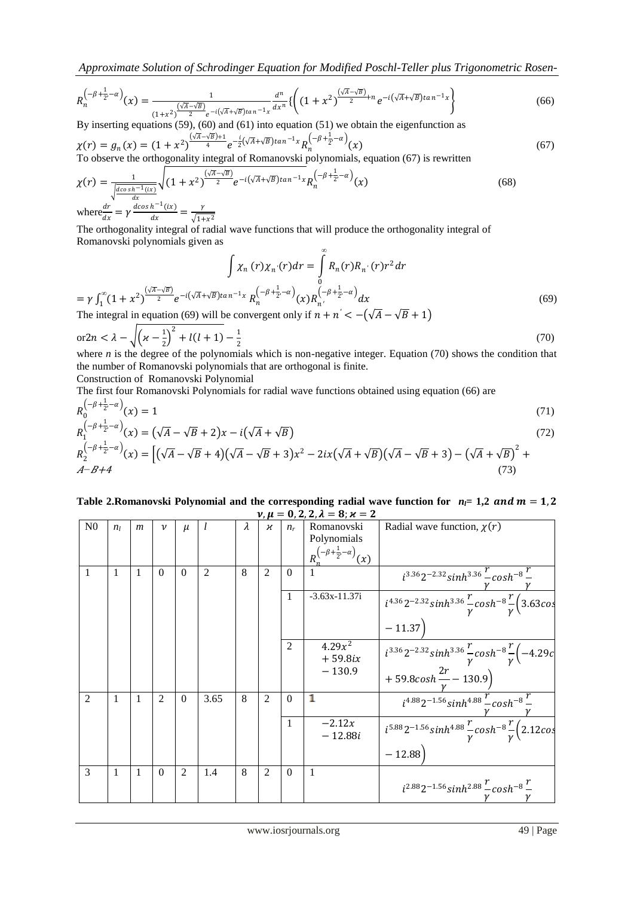*Approximate Solution of Schrodinger Equation for Modified Poschl-Teller plus Trigonometric Rosen-*

$$
R_n^{\left(-\beta+\frac{1}{2},-\alpha\right)}(x) = \frac{1}{(1+x^2)^{\frac{(\sqrt{A}-\sqrt{B})}{2}}e^{-i(\sqrt{A}+\sqrt{B})\tan^{-1}x}}\frac{d^n}{dx^n}\left\{ \left(1+x^2\right)^{\frac{(\sqrt{A}-\sqrt{B})}{2}+n}e^{-i(\sqrt{A}+\sqrt{B})\tan^{-1}x} \right\}
$$
(66)

By inserting equations (59), (60) and (61) into equation (51) we obtain the eigenfunction as  $\chi(r) = g_n(x) = (1 + x^2)^{\frac{(\sqrt{A} - \sqrt{B}) + 1}{4}} e^{-\frac{i}{2}(\sqrt{A} + \sqrt{B})\tan^{-1}x} R_n^{(-\beta + \frac{1}{2}, -\alpha)}$ 

$$
\chi(r) = g_n(x) = (1 + x^2)^{-4} e^{-\frac{1}{2}(x + y^2) \sinh(x - x)} R_n^{\sqrt{2}}(x)
$$
\nTo observe the orthogonality integral of Romanovski polynomials, equation (67) is rewritten

$$
\chi(r) = \frac{1}{\sqrt{\frac{d\cos\left(\pi r - 1\right)\left(\frac{r}{\alpha}\right)}{dx}}}\sqrt{(1+x^2)^{\frac{\left(\sqrt{A}-\sqrt{B}\right)}{2}}}e^{-i\left(\sqrt{A}+\sqrt{B}\right)\tan^{-1}x}R_n^{\left(-\beta+\frac{1}{2},-\alpha\right)}(x)
$$
\n
$$
\text{where}\frac{dr}{r} = \gamma\frac{d\cos\left(\pi r - 1\right)\left(\frac{r}{\alpha}\right)}{r} = \frac{\gamma}{\sqrt{1-x^2}}\tag{68}
$$

where $\frac{dr}{dx}$  $- r$  $\overline{dx}$ =  $\sqrt{1+x^2}$ 

The orthogonality integral of radial wave functions that will produce the orthogonality integral of Romanovski polynomials given as

$$
\int \chi_n(r)\chi_n(r)dr = \int_0^{\infty} R_n(r)R_{n'}(r)r^2 dr
$$
  
=  $\gamma \int_1^{\infty} (1+x^2)^{\frac{(\sqrt{A}-\sqrt{B})}{2}} e^{-i(\sqrt{A}+\sqrt{B})\tan^{-1}x} R_n^{(-\beta+\frac{1}{2}-\alpha)}(x)R_{n'}^{(-\beta+\frac{1}{2}-\alpha)} dx$   
The integral in equation (69) will be convergent only if  $n+n' < -(\sqrt{A}-\sqrt{B}+1)$  (69)

$$
\text{or} 2n < \lambda - \sqrt{\left(\varkappa - \frac{1}{2}\right)^2 + l(l+1)} - \frac{1}{2} \tag{70}
$$
\nwhere *n* is the degree of the polynomial which is zero. Fourier (70) shows the condition that

where *n* is the degree of the polynomials which is non-negative integer. Equation (70) shows the condition that the number of Romanovski polynomials that are orthogonal is finite. Construction of Romanovski Polynomial

The first four Romanovski Polynomials for radial wave functions obtained using equation (66) are

$$
R_0^{\left(-\beta + \frac{1}{2}, -\alpha\right)}(x) = 1\tag{71}
$$

$$
R_1^{(-\beta + \frac{1}{2}, -\alpha)}(x) = (\sqrt{A} - \sqrt{B} + 2)x - i(\sqrt{A} + \sqrt{B})
$$
\n(72)

$$
R_2^{(-\beta + \frac{1}{2}, -\alpha)}(x) = \left[ (\sqrt{A} - \sqrt{B} + 4)(\sqrt{A} - \sqrt{B} + 3)x^2 - 2ix(\sqrt{A} + \sqrt{B})(\sqrt{A} - \sqrt{B} + 3) - (\sqrt{A} + \sqrt{B})^2 + (73)\sqrt{A}\right]
$$
\n
$$
A - B + 4
$$
\n(73)

#### Table 2.Romanovski Polynomial and the corresponding radial wave function for  $n_1 = 1,2$  and  $m = 1,2$  $v, \mu = 0, 2, 2, \lambda = 8; \varkappa = 2$

| N <sub>0</sub> | n <sub>I</sub> | $\boldsymbol{m}$ | $\boldsymbol{\nu}$ | $\mu$          | l              | $\lambda$ | $\boldsymbol{\varkappa}$ | $n_r$          | Romanovski                                 | Radial wave function, $\chi(r)$                                                         |
|----------------|----------------|------------------|--------------------|----------------|----------------|-----------|--------------------------|----------------|--------------------------------------------|-----------------------------------------------------------------------------------------|
|                |                |                  |                    |                |                |           |                          |                | Polynomials                                |                                                                                         |
|                |                |                  |                    |                |                |           |                          |                | $R_n^{(-\beta + \frac{1}{2}, -\alpha)}(x)$ |                                                                                         |
| 1              | 1              | 1                | $\theta$           | $\Omega$       | $\overline{2}$ | 8         | 2                        | $\Omega$       |                                            | $i^{3.36}2^{-2.32}sinh^{3.36}$ – $cosh^{-8}$ –                                          |
|                |                |                  |                    |                |                |           |                          | 1              | $-3.63x-11.37i$                            | $i^{4.36}2^{-2.32}sinh^{3.36}\frac{r}{v}cosh^{-8}\frac{r}{v}(3.63cos)$                  |
|                |                |                  |                    |                |                |           |                          |                |                                            | $-11.37$                                                                                |
|                |                |                  |                    |                |                |           |                          | $\overline{2}$ | $4.29x^2$<br>$+59.8ix$                     | $i^{3.36}2^{-2.32}sinh^{3.36}\frac{r}{v}cosh^{-8}\frac{r}{v}(-4.29c)$                   |
|                |                |                  |                    |                |                |           |                          |                | $-130.9$                                   | + 59.8 $cosh \frac{2r}{v} - 130.9$                                                      |
| 2              | 1              | 1                | 2                  | $\Omega$       | 3.65           | 8         | $\mathfrak{D}$           | $\Omega$       | 1                                          | $i^{4.88}2^{-1.56}sinh^{4.88}\frac{r}{\pi}cosh^{-8}\frac{r}{\pi}$                       |
|                |                |                  |                    |                |                |           |                          | 1              | $-2.12x$<br>$-12.88i$                      | $i^{5.88}2^{-1.56}sinh^{4.88}\frac{r}{\nu}cosh^{-8}\frac{r}{\nu}(2.12cos\frac{r}{\nu})$ |
|                |                |                  |                    |                |                |           |                          |                |                                            | $-12.88$                                                                                |
| 3              | 1              | 1                | $\theta$           | $\overline{2}$ | 1.4            | 8         | 2                        | $\Omega$       | $\overline{1}$                             |                                                                                         |
|                |                |                  |                    |                |                |           |                          |                |                                            | $i^{2.88}2^{-1.56}sinh^{2.88}$ $-cosh^{-8}$                                             |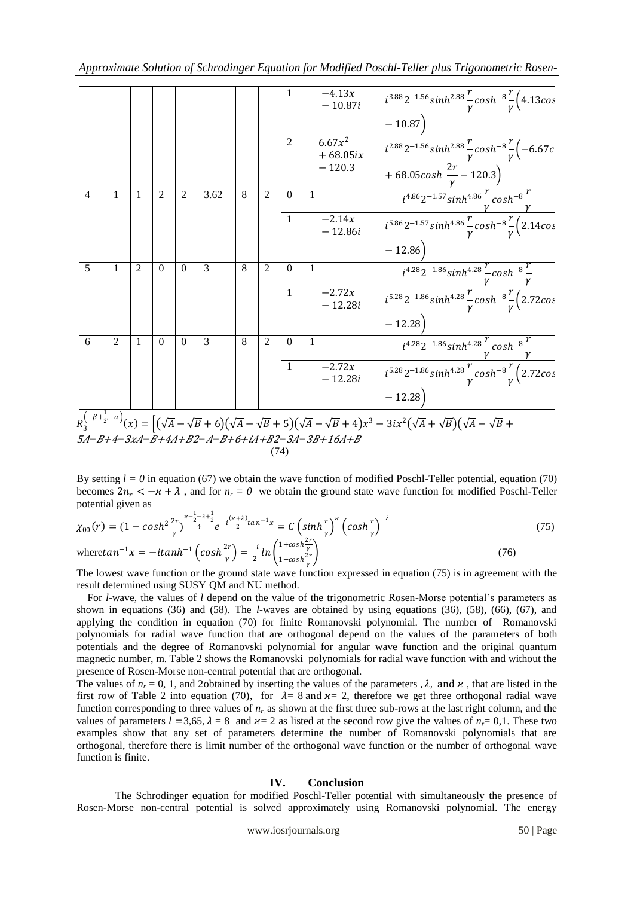|                                                                                                                                                                                                                      |                |              |          |                |      |   |                | 1              | $-4.13x$<br>$-10.87i$   | $i^{3.88}2^{-1.56}sinh^{2.88}\frac{r}{\gamma}cosh^{-8}\frac{r}{\gamma}\left(4.13cos\right)$                                                                                    |
|----------------------------------------------------------------------------------------------------------------------------------------------------------------------------------------------------------------------|----------------|--------------|----------|----------------|------|---|----------------|----------------|-------------------------|--------------------------------------------------------------------------------------------------------------------------------------------------------------------------------|
|                                                                                                                                                                                                                      |                |              |          |                |      |   |                |                |                         | $-10.87$                                                                                                                                                                       |
|                                                                                                                                                                                                                      |                |              |          |                |      |   |                | $\overline{2}$ | $6.67x^2$<br>$+68.05ix$ | $i^{2.88}2^{-1.56}sinh^{2.88}\frac{r}{\gamma}cosh^{-8}\frac{r}{\gamma}(-6.67c)$                                                                                                |
|                                                                                                                                                                                                                      |                |              |          |                |      |   |                |                | $-120.3$                | + 68.05 $cosh \frac{2r}{\gamma}$ – 120.3)                                                                                                                                      |
| $\overline{4}$                                                                                                                                                                                                       | $\mathbf{1}$   | -1           | 2        | $\overline{2}$ | 3.62 | 8 | $\overline{c}$ | $\Omega$       | $\mathbf{1}$            | $i^{4.86}2^{-1.57}sinh^{4.86}\frac{r}{\pi}cosh^{-8}\frac{r}{\pi}$                                                                                                              |
|                                                                                                                                                                                                                      |                |              |          |                |      |   |                | $\mathbf{1}$   | $-2.14x$<br>$-12.86i$   | $i^{5.86}2^{-1.57}sinh^{4.86}\frac{r}{\nu}cosh^{-8}\frac{r}{\nu}(2.14cos$                                                                                                      |
|                                                                                                                                                                                                                      |                |              |          |                |      |   |                |                |                         | $-12.86$                                                                                                                                                                       |
| $\overline{5}$                                                                                                                                                                                                       | $\overline{1}$ | 2            | $\Omega$ | $\Omega$       | 3    | 8 | $\overline{c}$ | $\Omega$       | $\overline{1}$          | $i^{4.28}2^{-1.86}sinh^{4.28}$ – $cosh^{-8}$ –                                                                                                                                 |
|                                                                                                                                                                                                                      |                |              |          |                |      |   |                | $\mathbf{1}$   | $-2.72x$<br>$-12.28i$   | $i^{5.28}2^{-1.86}sinh^{4.28}\frac{r}{v}cosh^{-8}\frac{r}{v}(2.72cos)$                                                                                                         |
|                                                                                                                                                                                                                      |                |              |          |                |      |   |                |                |                         | $-12.28$                                                                                                                                                                       |
| 6                                                                                                                                                                                                                    | 2              | $\mathbf{1}$ | $\Omega$ | $\Omega$       | 3    | 8 | $\overline{2}$ | $\Omega$       | $\overline{1}$          |                                                                                                                                                                                |
|                                                                                                                                                                                                                      |                |              |          |                |      |   |                | $\mathbf{1}$   | $-2.72x$<br>$-12.28i$   | $\frac{i^{4.28}2^{-1.86}sinh^{4.28}\frac{r}{\gamma}cosh^{-8}\frac{r}{\gamma}}{i^{5.28}2^{-1.86}sinh^{4.28}\frac{r}{\gamma}cosh^{-8}\frac{r}{\gamma}(2.72cos\frac{r}{\gamma})}$ |
|                                                                                                                                                                                                                      |                |              |          |                |      |   |                |                |                         | $-12.28$                                                                                                                                                                       |
| $R_3^{\left(-\beta+\frac{1}{2},-\alpha\right)}(x) = \left[ (\sqrt{A}-\sqrt{B}+6)(\sqrt{A}-\sqrt{B}+5)(\sqrt{A}-\sqrt{B}+4)x^3 - 3ix^2(\sqrt{A}+\sqrt{B})(\sqrt{A}-\sqrt{B}+4)x^2 - 3ix^2(\sqrt{A}+2\sqrt{B})\right]$ |                |              |          |                |      |   |                |                |                         |                                                                                                                                                                                |
| 5A- B+4- 3xA- B+4A+B2- A- B+6+iA+B2- 3A- 3B+16A+B                                                                                                                                                                    |                |              |          |                |      |   |                |                |                         |                                                                                                                                                                                |

(74)

By setting  $l = 0$  in equation (67) we obtain the wave function of modified Poschl-Teller potential, equation (70) becomes  $2n_r < -\varkappa + \lambda$ , and for  $n_r = 0$  we obtain the ground state wave function for modified Poschl-Teller potential given as

$$
\chi_{00}(r) = (1 - \cosh^2 \frac{2r}{\gamma})^{\frac{\gamma - \frac{1}{2} - \lambda + \frac{1}{2}}{4}} e^{-i\frac{(\gamma + \lambda)}{2} \tan^{-1} x} = C \left(\sinh \frac{r}{\gamma}\right)^{\gamma} \left(\cosh \frac{r}{\gamma}\right)^{-\lambda}
$$
(75)

where 
$$
\tan^{-1} x = -\text{itanh}^{-1} \left( \cosh \frac{2r}{\gamma} \right) = \frac{-i}{2} \ln \left( \frac{1 + \cosh \frac{2r}{\gamma}}{1 - \cosh \frac{2r}{\gamma}} \right)
$$
 (76)

The lowest wave function or the ground state wave function expressed in equation (75) is in agreement with the result determined using SUSY QM and NU method.

 For *l*-wave, the values of *l* depend on the value of the trigonometric Rosen-Morse potential's parameters as shown in equations (36) and (58). The *l-*waves are obtained by using equations (36), (58), (66), (67), and applying the condition in equation (70) for finite Romanovski polynomial. The number of Romanovski polynomials for radial wave function that are orthogonal depend on the values of the parameters of both potentials and the degree of Romanovski polynomial for angular wave function and the original quantum magnetic number, m. Table 2 shows the Romanovski polynomials for radial wave function with and without the presence of Rosen-Morse non-central potential that are orthogonal.

The values of  $n_r = 0$ , 1, and 2 obtained by inserting the values of the parameters ,  $\lambda$ , and  $\alpha$ , that are listed in the first row of Table 2 into equation (70), for  $\lambda = 8$  and  $\varkappa = 2$ , therefore we get three orthogonal radial wave function corresponding to three values of *nr.* as shown at the first three sub-rows at the last right column, and the values of parameters  $l = 3.65$ ,  $\lambda = 8$  and  $\lambda = 2$  as listed at the second row give the values of  $n = 0.1$ . These two examples show that any set of parameters determine the number of Romanovski polynomials that are orthogonal, therefore there is limit number of the orthogonal wave function or the number of orthogonal wave function is finite.

### **IV. Conclusion**

The Schrodinger equation for modified Poschl-Teller potential with simultaneously the presence of Rosen-Morse non-central potential is solved approximately using Romanovski polynomial. The energy